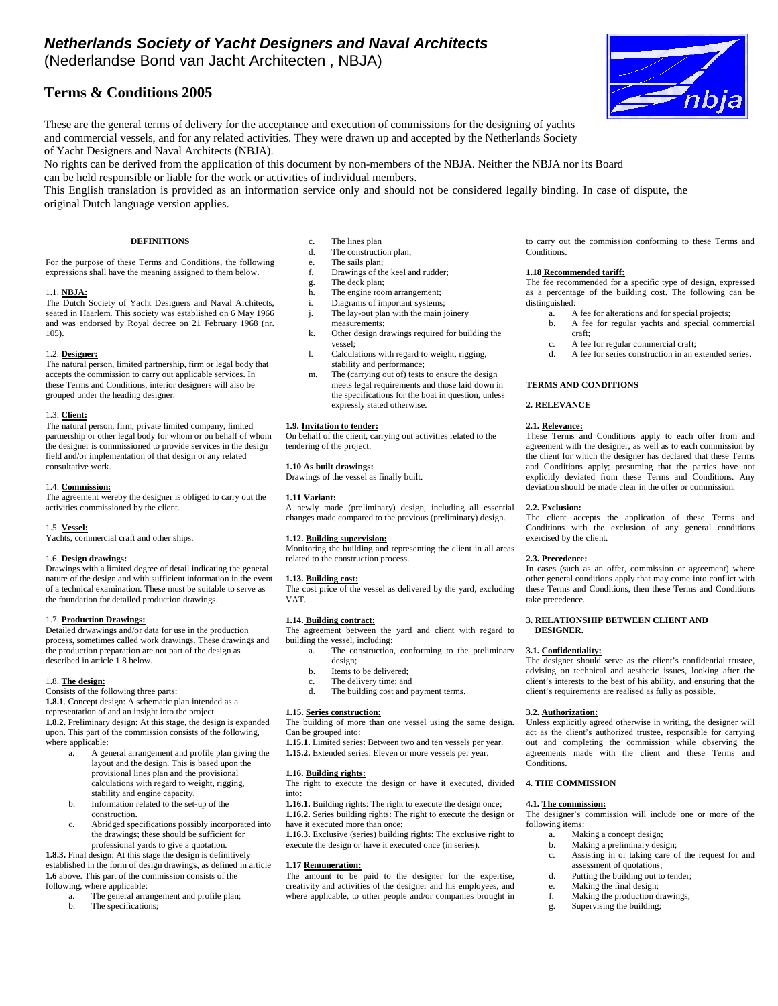# *Netherlands Society of Yacht Designers and Naval Architects*

(Nederlandse Bond van Jacht Architecten , NBJA)

# **Terms & Conditions 2005**

These are the general terms of delivery for the acceptance and execution of commissions for the designing of yachts and commercial vessels, and for any related activities. They were drawn up and accepted by the Netherlands Society of Yacht Designers and Naval Architects (NBJA).

No rights can be derived from the application of this document by non-members of the NBJA. Neither the NBJA nor its Board

can be held responsible or liable for the work or activities of individual members.

This English translation is provided as an information service only and should not be considered legally binding. In case of dispute, the original Dutch language version applies.

For the purpose of these Terms and Conditions, the following expressions shall have the meaning assigned to them below.

## 1.1. **NBJA:**

The Dutch Society of Yacht Designers and Naval Architects, seated in Haarlem. This society was established on 6 May 1966 and was endorsed by Royal decree on 21 February 1968 (nr. 105).

## 1.2. **Designer:**

The natural person, limited partnership, firm or legal body that accepts the commission to carry out applicable services. In these Terms and Conditions, interior designers will also be grouped under the heading designer.

## 1.3. **Client:**

The natural person, firm, private limited company, limited partnership or other legal body for whom or on behalf of whom the designer is commissioned to provide services in the design field and/or implementation of that design or any related consultative work.

#### 1.4. **Commission:**

The agreement wereby the designer is obliged to carry out the activities commissioned by the client.

## 1.5. **Vessel:**

Yachts, commercial craft and other ships.

## 1.6. **Design drawings:**

Drawings with a limited degree of detail indicating the general nature of the design and with sufficient information in the event of a technical examination. These must be suitable to serve as the foundation for detailed production drawings.

## 1.7. **Production Drawings:**

Detailed drwawings and/or data for use in the production process, sometimes called work drawings. These drawings and the production preparation are not part of the design as described in article 1.8 below.

#### 1.8. **The design:**

Consists of the following three parts:

**1.8.1**. Concept design: A schematic plan intended as a representation of and an insight into the project.

**1.8.2.** Preliminary design: At this stage, the design is expanded upon. This part of the commission consists of the following, where applicable:

- a. A general arrangement and profile plan giving the layout and the design. This is based upon the provisional lines plan and the provisional calculations with regard to weight, rigging, stability and engine capacity.
- b. Information related to the set-up of the construction.
- c. Abridged specifications possibly incorporated into the drawings; these should be sufficient for professional yards to give a quotation.

**1.8.3.** Final design: At this stage the design is definitively established in the form of design drawings, as defined in article **1.6** above. This part of the commission consists of the following, where applicable:

- a. The general arrangement and profile plan;<br>
h The specifications:
- The specifications;
- c. The lines plan
- d. The construction plan;
- e. The sails plan;
- f. Drawings of the keel and rudder;
- g. The deck plan;
- h. The engine room arrangement;
- i. Diagrams of important systems;
- j. The lay-out plan with the main joinery measurements;
- k. Other design drawings required for building the vessel;
- 
- l. Calculations with regard to weight, rigging, stability and performance;
- m. The (carrying out of) tests to ensure the design meets legal requirements and those laid down in the specifications for the boat in question, unless expressly stated otherwise.

## **1.9. Invitation to tender:**

On behalf of the client, carrying out activities related to the tendering of the project.

## **1.10 As built drawings:**

Drawings of the vessel as finally built.

#### **1.11 Variant:**

A newly made (preliminary) design, including all essential changes made compared to the previous (preliminary) design.

## **1.12. Building supervision:**

Monitoring the building and representing the client in all areas related to the construction process.

## **1.13. Building cost:**

The cost price of the vessel as delivered by the yard, excluding VAT.

## **1.14. Building contract:**

The agreement between the yard and client with regard to building the vessel, including:

- a. The construction, conforming to the preliminary design;
- b. Items to be delivered;
- c. The delivery time; and<br>d. The building cost and r
- The building cost and payment terms.

## **1.15. Series construction:**

The building of more than one vessel using the same design.

Can be grouped into: **1.15.1.** Limited series: Between two and ten vessels per year.

**1.15.2.** Extended series: Eleven or more vessels per year.

#### **1.16. Building rights:**

The right to execute the design or have it executed, divided into:

**1.16.1.** Building rights: The right to execute the design once; **1.16.2.** Series building rights: The right to execute the design or have it executed more than once;

**1.16.3.** Exclusive (series) building rights: The exclusive right to execute the design or have it executed once (in series).

## **1.17 Remuneration:**

The amount to be paid to the designer for the expertise, creativity and activities of the designer and his employees, and where applicable, to other people and/or companies brought in to carry out the commission conforming to these Terms and Conditions.

nb

#### **1.18 Recommended tariff:**

The fee recommended for a specific type of design, expressed as a percentage of the building cost. The following can be distinguished:

- a. A fee for alterations and for special projects;
- b. A fee for regular yachts and special commercial craft;
- c. A fee for regular commercial craft;
- d. A fee for series construction in an extended series.

## **TERMS AND CONDITIONS**

## **2. RELEVANCE**

## **2.1. Relevance:**

These Terms and Conditions apply to each offer from and agreement with the designer, as well as to each commission by the client for which the designer has declared that these Terms and Conditions apply; presuming that the parties have not explicitly deviated from these Terms and Conditions. Any deviation should be made clear in the offer or commission.

#### **2.2. Exclusion:**

The client accepts the application of these Terms and Conditions with the exclusion of any general conditions exercised by the client.

#### **2.3. Precedence:**

In cases (such as an offer, commission or agreement) where other general conditions apply that may come into conflict with these Terms and Conditions, then these Terms and Conditions take precedence.

**3. RELATIONSHIP BETWEEN CLIENT AND DESIGNER.** 

## **3.1. Confidentiality:**

The designer should serve as the client's confidential trustee, advising on technical and aesthetic issues, looking after the client's interests to the best of his ability, and ensuring that the client's requirements are realised as fully as possible.

#### **3.2. Authorization:**

Unless explicitly agreed otherwise in writing, the designer will act as the client's authorized trustee, responsible for carrying out and completing the commission while observing the agreements made with the client and these Terms and **Conditions**.

### **4. THE COMMISSION**

#### **4.1. The commission:**

The designer's commission will include one or more of the following items:

- a. Making a concept design;<br>b. Making a preliminary des
- Making a preliminary design;
- c. Assisting in or taking care of the request for and assessment of quotations;
- d. Putting the building out to tender; e. Making the final design;
- 
- f. Making the production drawings; g. Supervising the building;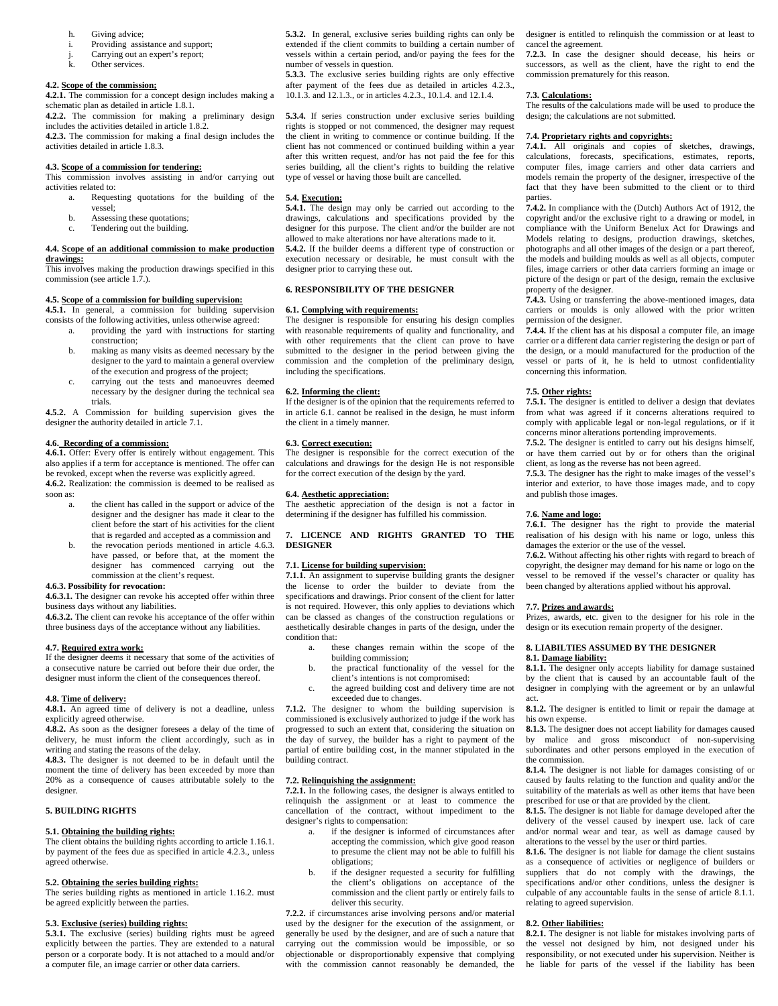- h. Giving advice;
- i. Providing assistance and support;
- j. Carrying out an expert's report;
- k. Other services.

#### **4.2. Scope of the commission;**

**4.2.1.** The commission for a concept design includes making a schematic plan as detailed in article 1.8.1.

**4.2.2.** The commission for making a preliminary design includes the activities detailed in article 1.8.2. **4.2.3.** The commission for making a final design includes the activities detailed in article 1.8.3.

## **4.3. Scope of a commission for tendering:**

This commission involves assisting in and/or carrying out activities related to:

- a. Requesting quotations for the building of the vessel;
	- b. Assessing these quotations;
	- c. Tendering out the building.

#### **4.4. Scope of an additional commission to make production drawings:**

This involves making the production drawings specified in this commission (see article 1.7.).

## **4.5. Scope of a commission for building supervision:**

**4.5.1.** In general, a commission for building supervision consists of the following activities, unless otherwise agreed:

- a. providing the yard with instructions for starting construction;
- b. making as many visits as deemed necessary by the designer to the yard to maintain a general overview of the execution and progress of the project;
- carrying out the tests and manoeuvres deemed necessary by the designer during the technical sea trials.

**4.5.2.** A Commission for building supervision gives the designer the authority detailed in article 7.1.

#### **4.6. Recording of a commission:**

**4.6.1.** Offer: Every offer is entirely without engagement. This also applies if a term for acceptance is mentioned. The offer can be revoked, except when the reverse was explicitly agreed. **4.6.2.** Realization: the commission is deemed to be realised as

soon as:

- a. the client has called in the support or advice of the designer and the designer has made it clear to the client before the start of his activities for the client that is regarded and accepted as a commission and
- b. the revocation periods mentioned in article 4.6.3. have passed, or before that, at the moment the designer has commenced carrying out the commission at the client's request.

## **4.6.3. Possibility for revocation:**

**4.6.3.1.** The designer can revoke his accepted offer within three business days without any liabilities.

**4.6.3.2.** The client can revoke his acceptance of the offer within three business days of the acceptance without any liabilities.

## **4.7. Required extra work:**

If the designer deems it necessary that some of the activities of a consecutive nature be carried out before their due order, the designer must inform the client of the consequences thereof.

## **4.8. Time of delivery:**

**4.8.1.** An agreed time of delivery is not a deadline, unless explicitly agreed otherwise.

**4.8.2.** As soon as the designer foresees a delay of the time of delivery, he must inform the client accordingly, such as in writing and stating the reasons of the delay.

**4.8.3.** The designer is not deemed to be in default until the moment the time of delivery has been exceeded by more than 20% as a consequence of causes attributable solely to the designer.

## **5. BUILDING RIGHTS**

#### **5.1. Obtaining the building rights:**

The client obtains the building rights according to article 1.16.1. by payment of the fees due as specified in article 4.2.3., unless agreed otherwise.

## **5.2. Obtaining the series building rights:**

The series building rights as mentioned in article 1.16.2. must be agreed explicitly between the parties.

#### **5.3. Exclusive (series) building rights:**

**5.3.1.** The exclusive (series) building rights must be agreed explicitly between the parties. They are extended to a natural person or a corporate body. It is not attached to a mould and/or a computer file, an image carrier or other data carriers.

**5.3.2.** In general, exclusive series building rights can only be extended if the client commits to building a certain number of vessels within a certain period, and/or paying the fees for the number of vessels in question.

**5.3.3.** The exclusive series building rights are only effective after payment of the fees due as detailed in articles 4.2.3., 10.1.3. and 12.1.3. or in articles 4.2.3., 10.1.4. and 12.1.4.

**5.3.4.** If series construction under exclusive series building rights is stopped or not commenced, the designer may request the client in writing to commence or continue building. If the client has not commenced or continued building within a year after this written request, and/or has not paid the fee for this series building, all the client's rights to building the relative type of vessel or having those built are cancelled.

#### **5.4. Execution:**

**5.4.1.** The design may only be carried out according to the drawings, calculations and specifications provided by the designer for this purpose. The client and/or the builder are not allowed to make alterations nor have alterations made to it. **5.4.2.** If the builder deems a different type of construction or

execution necessary or desirable, he must consult with the designer prior to carrying these out.

### **6. RESPONSIBILITY OF THE DESIGNER**

#### **6.1. Complying with requirements:**

The designer is responsible for ensuring his design complies with reasonable requirements of quality and functionality, and with other requirements that the client can prove to have submitted to the designer in the period between giving the commission and the completion of the preliminary design, including the specifications.

#### **6.2. Informing the client:**

If the designer is of the opinion that the requirements referred to in article 6.1. cannot be realised in the design, he must inform the client in a timely manner.

#### **6.3. Correct execution:**

The designer is responsible for the correct execution of the calculations and drawings for the design He is not responsible for the correct execution of the design by the yard.

#### **6.4. Aesthetic appreciation:**

The aesthetic appreciation of the design is not a factor in determining if the designer has fulfilled his commission.

#### **7. LICENCE AND RIGHTS GRANTED TO THE DESIGNER**

## **7.1. License for building supervision:**

**7.1.1.** An assignment to supervise building grants the designer the license to order the builder to deviate from the specifications and drawings. Prior consent of the client for latter is not required. However, this only applies to deviations which can be classed as changes of the construction regulations or aesthetically desirable changes in parts of the design, under the condition that:

- a. these changes remain within the scope of the building commission;
- b. the practical functionality of the vessel for the
- client's intentions is not compromised: c. the agreed building cost and delivery time are not
- exceeded due to changes.

**7.1.2.** The designer to whom the building supervision is commissioned is exclusively authorized to judge if the work has progressed to such an extent that, considering the situation on the day of survey, the builder has a right to payment of the partial of entire building cost, in the manner stipulated in the building contract.

#### **7.2. Relinquishing the assignment:**

**7.2.1.** In the following cases, the designer is always entitled to relinquish the assignment or at least to commence the cancellation of the contract, without impediment to the designer's rights to compensation:

- a. if the designer is informed of circumstances after accepting the commission, which give good reason to presume the client may not be able to fulfill his obligations;
- b. if the designer requested a security for fulfilling the client's obligations on acceptance of the commission and the client partly or entirely fails to deliver this security.

**7.2.2.** if circumstances arise involving persons and/or material used by the designer for the execution of the assignment, or generally be used by the designer, and are of such a nature that carrying out the commission would be impossible, or so objectionable or disproportionably expensive that complying with the commission cannot reasonably be demanded, the

designer is entitled to relinquish the commission or at least to cancel the agreement.

**7.2.3.** In case the designer should decease, his heirs or successors, as well as the client, have the right to end the commission prematurely for this reason.

## **7.3. Calculations:**

The results of the calculations made will be used to produce the design; the calculations are not submitted.

#### **7.4. Proprietary rights and copyrights:**

**7.4.1.** All originals and copies of sketches, drawings, calculations, forecasts, specifications, estimates, reports, computer files, image carriers and other data carriers and models remain the property of the designer, irrespective of the fact that they have been submitted to the client or to third parties.

**7.4.2.** In compliance with the (Dutch) Authors Act of 1912, the copyright and/or the exclusive right to a drawing or model, in compliance with the Uniform Benelux Act for Drawings and Models relating to designs, production drawings, sketches, photographs and all other images of the design or a part thereof, the models and building moulds as well as all objects, computer files, image carriers or other data carriers forming an image or picture of the design or part of the design, remain the exclusive property of the designer.

**7.4.3.** Using or transferring the above-mentioned images, data carriers or moulds is only allowed with the prior written permission of the designer.

**7.4.4.** If the client has at his disposal a computer file, an image carrier or a different data carrier registering the design or part of the design, or a mould manufactured for the production of the vessel or parts of it, he is held to utmost confidentiality concerning this information.

## **7.5. Other rights:**

**7.5.1.** The designer is entitled to deliver a design that deviates from what was agreed if it concerns alterations required to comply with applicable legal or non-legal regulations, or if it concerns minor alterations portending improvements.

**7.5.2.** The designer is entitled to carry out his designs himself, or have them carried out by or for others than the original client, as long as the reverse has not been agreed.

**7.5.3.** The designer has the right to make images of the vessel's interior and exterior, to have those images made, and to copy and publish those images.

#### **7.6. Name and logo:**

**7.6.1.** The designer has the right to provide the material realisation of his design with his name or logo, unless this damages the exterior or the use of the vessel.

**7.6.2.** Without affecting his other rights with regard to breach of copyright, the designer may demand for his name or logo on the vessel to be removed if the vessel's character or quality has been changed by alterations applied without his approval.

#### **7.7. Prizes and awards:**

Prizes, awards, etc. given to the designer for his role in the design or its execution remain property of the designer.

#### **8. LIABILTIES ASSUMED BY THE DESIGNER**

#### **8.1. Damage liability:**

**8.1.1.** The designer only accepts liability for damage sustained by the client that is caused by an accountable fault of the designer in complying with the agreement or by an unlawful act.

**8.1.2.** The designer is entitled to limit or repair the damage at his own expense.

**8.1.3.** The designer does not accept liability for damages caused by malice and gross misconduct of non-supervising subordinates and other persons employed in the execution of the commission.

**8.1.4.** The designer is not liable for damages consisting of or caused by faults relating to the function and quality and/or the suitability of the materials as well as other items that have been prescribed for use or that are provided by the client.

**8.1.5.** The designer is not liable for damage developed after the delivery of the vessel caused by inexpert use. lack of care and/or normal wear and tear, as well as damage caused by alterations to the vessel by the user or third parties.

**8.1.6.** The designer is not liable for damage the client sustains as a consequence of activities or negligence of builders or suppliers that do not comply with the drawings, the specifications and/or other conditions, unless the designer is culpable of any accountable faults in the sense of article 8.1.1. relating to agreed supervision.

#### **8.2. Other liabilities:**

**8.2.1.** The designer is not liable for mistakes involving parts of the vessel not designed by him, not designed under his responsibility, or not executed under his supervision. Neither is he liable for parts of the vessel if the liability has been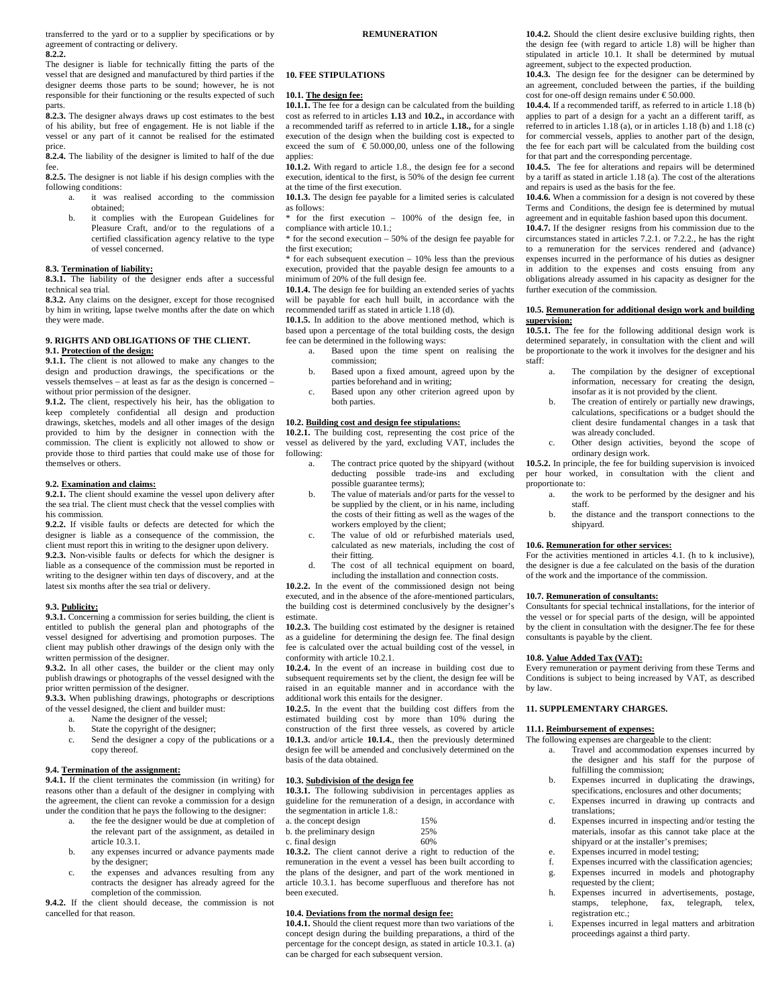transferred to the yard or to a supplier by specifications or by agreement of contracting or delivery.

**8.2.2.** 

The designer is liable for technically fitting the parts of the vessel that are designed and manufactured by third parties if the designer deems those parts to be sound; however, he is not responsible for their functioning or the results expected of such parts.

**8.2.3.** The designer always draws up cost estimates to the best of his ability, but free of engagement. He is not liable if the vessel or any part of it cannot be realised for the estimated price.

**8.2.4.** The liability of the designer is limited to half of the due fee.

**8.2.5.** The designer is not liable if his design complies with the following conditions:

- a. it was realised according to the commission obtained;
- b. it complies with the European Guidelines for Pleasure Craft, and/or to the regulations of a certified classification agency relative to the type of vessel concerned.

**8.3. Termination of liability: 8.3.1.** The liability of the designer ends after a successful technical sea trial.

**8.3.2.** Any claims on the designer, except for those recognised by him in writing, lapse twelve months after the date on which they were made.

## **9. RIGHTS AND OBLIGATIONS OF THE CLIENT. 9.1. Protection of the design:**

**9.1.1.** The client is not allowed to make any changes to the design and production drawings, the specifications or the vessels themselves – at least as far as the design is concerned – without prior permission of the designer.

**9.1.2.** The client, respectively his heir, has the obligation to keep completely confidential all design and production drawings, sketches, models and all other images of the design provided to him by the designer in connection with the commission. The client is explicitly not allowed to show or provide those to third parties that could make use of those for themselves or others.

## **9.2. Examination and claims:**

**9.2.1.** The client should examine the vessel upon delivery after the sea trial. The client must check that the vessel complies with his commission.

**9.2.2.** If visible faults or defects are detected for which the designer is liable as a consequence of the commission, the client must report this in writing to the designer upon delivery. **9.2.3.** Non-visible faults or defects for which the designer is liable as a consequence of the commission must be reported in writing to the designer within ten days of discovery, and at the latest six months after the sea trial or delivery.

#### **9.3. Publicity:**

**9.3.1.** Concerning a commission for series building, the client is entitled to publish the general plan and photographs of the vessel designed for advertising and promotion purposes. The client may publish other drawings of the design only with the written permission of the designer.

**9.3.2.** In all other cases, the builder or the client may only publish drawings or photographs of the vessel designed with the prior written permission of the designer.

**9.3.3.** When publishing drawings, photographs or descriptions of the vessel designed, the client and builder must:

- a. Name the designer of the vessel;
- b. State the copyright of the designer;
- c. Send the designer a copy of the publications or a copy thereof.

## **9.4. Termination of the assignment:**

**9.4.1.** If the client terminates the commission (in writing) for reasons other than a default of the designer in complying with the agreement, the client can revoke a commission for a design under the condition that he pays the following to the designer:

- a. the fee the designer would be due at completion of the relevant part of the assignment, as detailed in article 10.3.1.
- b. any expenses incurred or advance payments made by the designer;
- c. the expenses and advances resulting from any contracts the designer has already agreed for the completion of the commission.

**9.4.2.** If the client should decease, the commission is not cancelled for that reason.

## **10. FEE STIPULATIONS**

#### **10.1. The design fee:**

**10.1.1.** The fee for a design can be calculated from the building cost as referred to in articles **1.13** and **10.2.,** in accordance with a recommended tariff as referred to in article **1.18.,** for a single execution of the design when the building cost is expected to exceed the sum of  $\epsilon$  50.000,00, unless one of the following applies:

**10.1.2.** With regard to article 1.8., the design fee for a second execution, identical to the first, is 50% of the design fee current at the time of the first execution.

**10.1.3.** The design fee payable for a limited series is calculated as follows:

\* for the first execution – 100% of the design fee, in compliance with article 10.1.;

\* for the second execution – 50% of the design fee payable for the first execution;

 $*$  for each subsequent execution – 10% less than the previous execution, provided that the payable design fee amounts to a minimum of 20% of the full design fee.

**10.1.4.** The design fee for building an extended series of yachts will be payable for each hull built, in accordance with the recommended tariff as stated in article 1.18 (d).

**10.1.5.** In addition to the above mentioned method, which is based upon a percentage of the total building costs, the design fee can be determined in the following ways:

a. Based upon the time spent on realising the commission;

- b. Based upon a fixed amount, agreed upon by the parties beforehand and in writing;
- Based upon any other criterion agreed upon by both parties.

#### **10.2. Building cost and design fee stipulations:**

**10.2.1.** The building cost, representing the cost price of the vessel as delivered by the yard, excluding VAT, includes the following:

- a. The contract price quoted by the shipyard (without deducting possible trade-ins and excluding possible guarantee terms);
- b. The value of materials and/or parts for the vessel to be supplied by the client, or in his name, including the costs of their fitting as well as the wages of the workers employed by the client;
- c. The value of old or refurbished materials used, calculated as new materials, including the cost of their fitting.
- d. The cost of all technical equipment on board, including the installation and connection costs.

**10.2.2.** In the event of the commissioned design not being executed, and in the absence of the afore-mentioned particulars, the building cost is determined conclusively by the designer's estimate.

**10.2.3.** The building cost estimated by the designer is retained as a guideline for determining the design fee. The final design fee is calculated over the actual building cost of the vessel, in conformity with article 10.2.1.

**10.2.4.** In the event of an increase in building cost due to subsequent requirements set by the client, the design fee will be raised in an equitable manner and in accordance with the additional work this entails for the designer.

**10.2.5.** In the event that the building cost differs from the estimated building cost by more than 10% during the construction of the first three vessels, as covered by article **10.1.3.** and/or article **10.1.4.**, then the previously determined design fee will be amended and conclusively determined on the basis of the data obtained.

#### **10.3. Subdivision of the design fee**

**10.3.1.** The following subdivision in percentages applies as guideline for the remuneration of a design, in accordance with the segmentation in article 1.8.:

| a. the concept design     | 15% |
|---------------------------|-----|
| b. the preliminary design | 25% |
| c. final design           | 60% |

**10.3.2.** The client cannot derive a right to reduction of the remuneration in the event a vessel has been built according to the plans of the designer, and part of the work mentioned in article 10.3.1. has become superfluous and therefore has not been executed.

## **10.4. Deviations from the normal design fee:**

**10.4.1.** Should the client request more than two variations of the concept design during the building preparations, a third of the percentage for the concept design, as stated in article 10.3.1. (a) can be charged for each subsequent version.

**10.4.2.** Should the client desire exclusive building rights, then the design fee (with regard to article 1.8) will be higher than stipulated in article 10.1. It shall be determined by mutual agreement, subject to the expected production.

**10.4.3.** The design fee for the designer can be determined by an agreement, concluded between the parties, if the building cost for one-off design remains under € 50.000.

**10.4.4.** If a recommended tariff, as referred to in article 1.18 (b) applies to part of a design for a yacht an a different tariff, as referred to in articles 1.18 (a), or in articles 1.18 (b) and 1.18 (c) for commercial vessels, applies to another part of the design, the fee for each part will be calculated from the building cost for that part and the corresponding percentage.

**10.4.5.** The fee for alterations and repairs will be determined by a tariff as stated in article 1.18 (a). The cost of the alterations and repairs is used as the basis for the fee.

**10.4.6.** When a commission for a design is not covered by these Terms and Conditions, the design fee is determined by mutual agreement and in equitable fashion based upon this document.

**10.4.7.** If the designer resigns from his commission due to the circumstances stated in articles 7.2.1. or 7.2.2., he has the right to a remuneration for the services rendered and (advance) expenses incurred in the performance of his duties as designer in addition to the expenses and costs ensuing from any obligations already assumed in his capacity as designer for the further execution of the commission.

#### **10.5. Remuneration for additional design work and building supervision:**

**10.5.1.** The fee for the following additional design work is determined separately, in consultation with the client and will be proportionate to the work it involves for the designer and his staff:

- The compilation by the designer of exceptional information, necessary for creating the design, insofar as it is not provided by the client.
- b. The creation of entirely or partially new drawings, calculations, specifications or a budget should the client desire fundamental changes in a task that was already concluded.
- c. Other design activities, beyond the scope of ordinary design work.

**10.5.2.** In principle, the fee for building supervision is invoiced per hour worked, in consultation with the client and proportionate to:

- a. the work to be performed by the designer and his staff.
- b. the distance and the transport connections to the shipyard.

#### **10.6. Remuneration for other services:**

For the activities mentioned in articles 4.1. (h to k inclusive), the designer is due a fee calculated on the basis of the duration of the work and the importance of the commission.

#### **10.7. Remuneration of consultants:**

Consultants for special technical installations, for the interior of the vessel or for special parts of the design, will be appointed by the client in consultation with the designer.The fee for these consultants is payable by the client.

#### **10.8. Value Added Tax (VAT):**

Every remuneration or payment deriving from these Terms and Conditions is subject to being increased by VAT, as described by law.

## **11. SUPPLEMENTARY CHARGES.**

#### **11.1. Reimbursement of expenses:**

The following expenses are chargeable to the client:

- a. Travel and accommodation expenses incurred by the designer and his staff for the purpose of fulfilling the commission;
- b. Expenses incurred in duplicating the drawings, specifications, enclosures and other documents;
- c. Expenses incurred in drawing up contracts and translations;
- d. Expenses incurred in inspecting and/or testing the materials, insofar as this cannot take place at the shipyard or at the installer's premises;
- e. Expenses incurred in model testing;
- f. Expenses incurred with the classification agencies;
- g. Expenses incurred in models and photography
- requested by the client; h. Expenses incurred in advertisements, postage,
- stamps, telephone, fax, telegraph, telex, registration etc.;
- i. Expenses incurred in legal matters and arbitration proceedings against a third party.